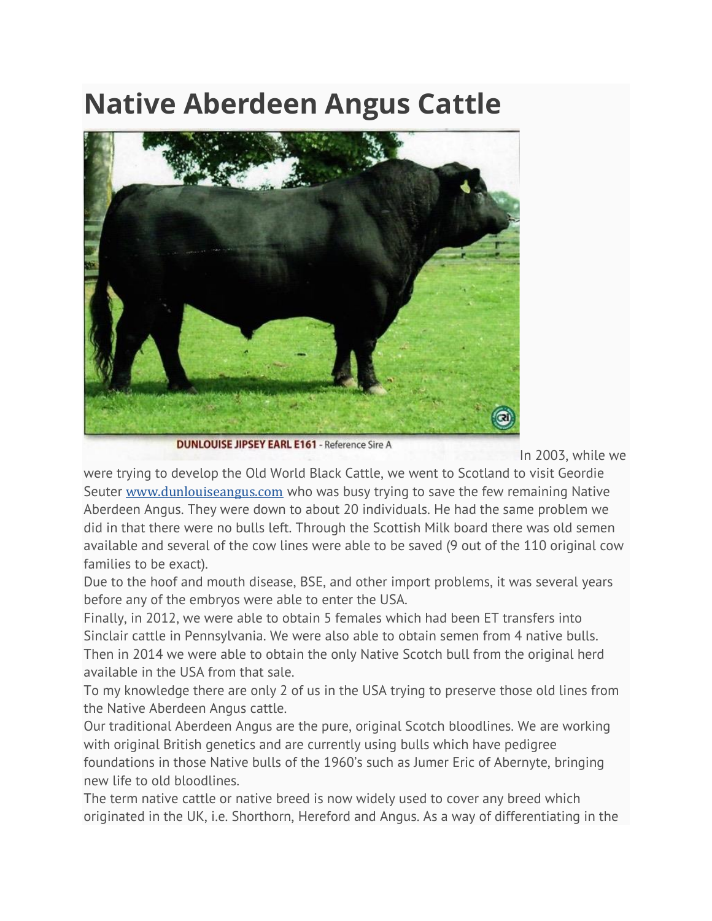## **Native Aberdeen Angus Cattle**



**DUNLOUISE JIPSEY EARL E161** - Reference Sire A

In 2003, while we

were trying to develop the Old World Black Cattle, we went to Scotland to visit Geordie Seuter [www.dunlouiseangus.com](http://www.dunlouiseangus.com/) who was busy trying to save the few remaining Native Aberdeen Angus. They were down to about 20 individuals. He had the same problem we did in that there were no bulls left. Through the Scottish Milk board there was old semen available and several of the cow lines were able to be saved (9 out of the 110 original cow families to be exact).

Due to the hoof and mouth disease, BSE, and other import problems, it was several years before any of the embryos were able to enter the USA.

Finally, in 2012, we were able to obtain 5 females which had been ET transfers into Sinclair cattle in Pennsylvania. We were also able to obtain semen from 4 native bulls. Then in 2014 we were able to obtain the only Native Scotch bull from the original herd available in the USA from that sale.

To my knowledge there are only 2 of us in the USA trying to preserve those old lines from the Native Aberdeen Angus cattle.

Our traditional Aberdeen Angus are the pure, original Scotch bloodlines. We are working with original British genetics and are currently using bulls which have pedigree foundations in those Native bulls of the 1960's such as Jumer Eric of Abernyte, bringing new life to old bloodlines.

The term native cattle or native breed is now widely used to cover any breed which originated in the UK, i.e. Shorthorn, Hereford and Angus. As a way of differentiating in the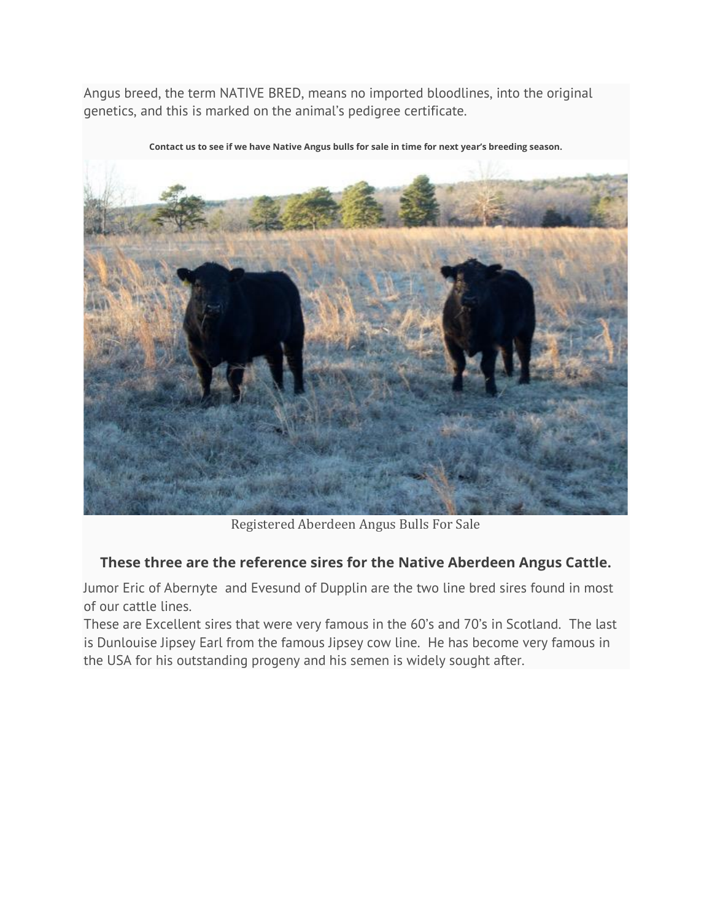Angus breed, the term NATIVE BRED, means no imported bloodlines, into the original genetics, and this is marked on the animal's pedigree certificate.



**Contact us to see if we have Native Angus bulls for sale in time for next year's breeding season.**

Registered Aberdeen Angus Bulls For Sale

## **These three are the reference sires for the Native Aberdeen Angus Cattle.**

Jumor Eric of Abernyte and Evesund of Dupplin are the two line bred sires found in most of our cattle lines.

These are Excellent sires that were very famous in the 60's and 70's in Scotland. The last is Dunlouise Jipsey Earl from the famous Jipsey cow line. He has become very famous in the USA for his outstanding progeny and his semen is widely sought after.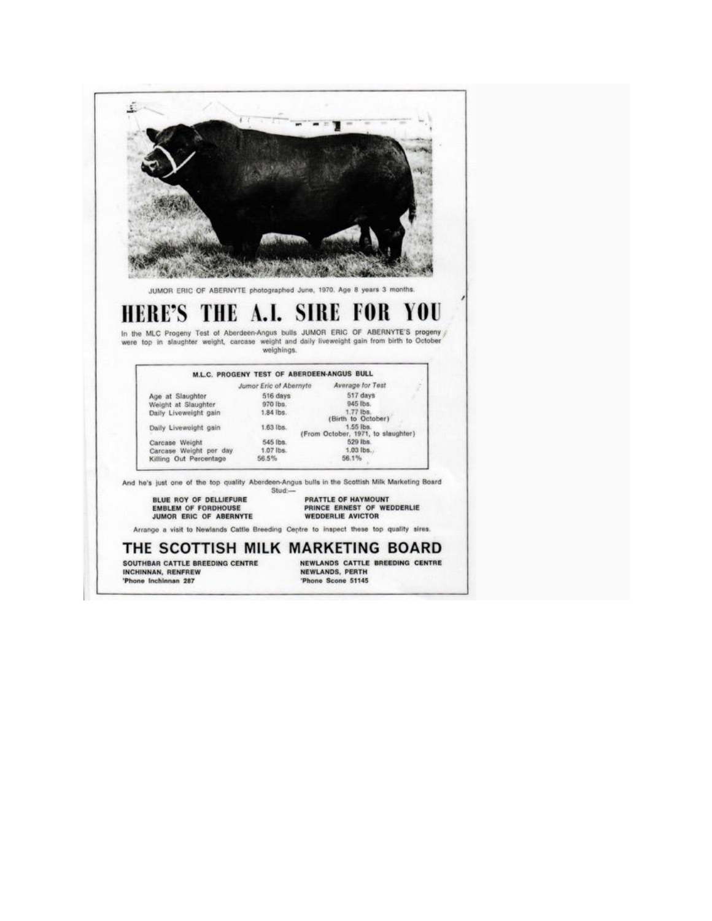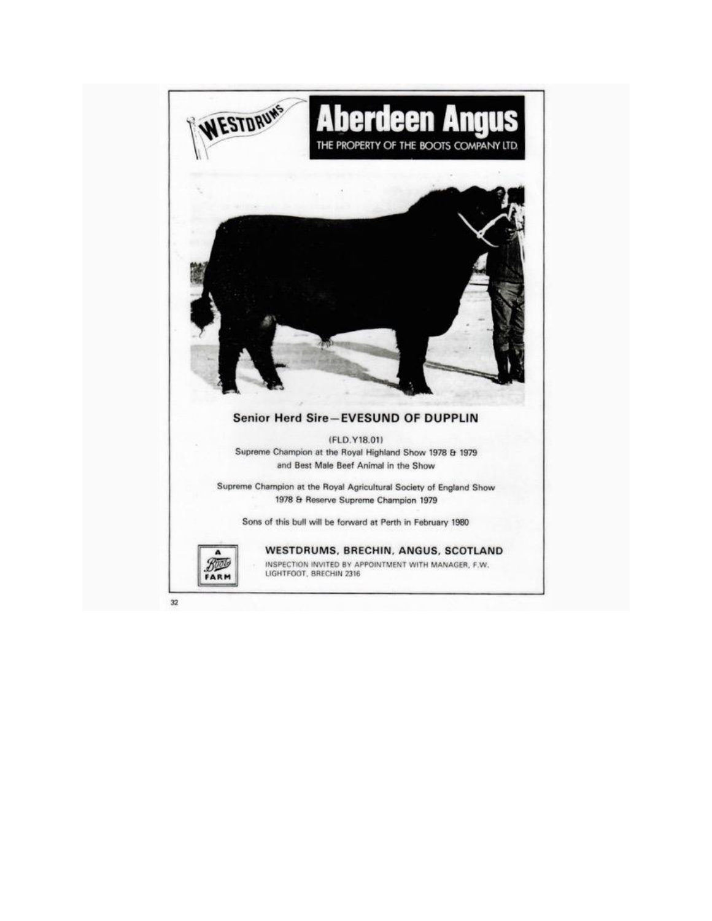